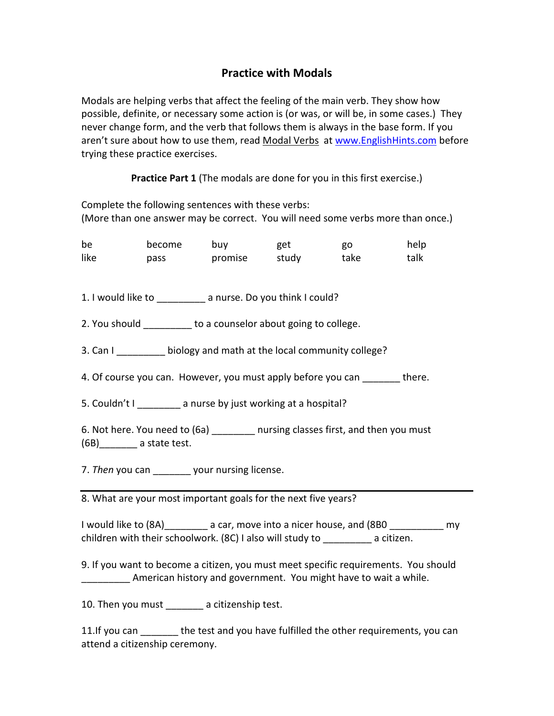# Practice with Modals

Modals are helping verbs that affect the feeling of the main verb. They show how possible, definite, or necessary some action is (or was, or will be, in some cases.) They never change form, and the verb that follows them is always in the base form. If you aren't sure about how to use them, read Modal Verbs at www.EnglishHints.com before trying these practice exercises.

Practice Part 1 (The modals are done for you in this first exercise.)

Complete the following sentences with these verbs: (More than one answer may be correct. You will need some verbs more than once.)

be become buy get go help like pass promise study take talk 1. I would like to \_\_\_\_\_\_\_\_\_ a nurse. Do you think I could? 2. You should to a counselor about going to college. 3. Can I biology and math at the local community college? 4. Of course you can. However, you must apply before you can there. 5. Couldn't I a nurse by just working at a hospital? 6. Not here. You need to (6a) \_\_\_\_\_\_\_\_ nursing classes first, and then you must (6B)\_\_\_\_\_\_\_ a state test. 7. Then you can vour nursing license. 8. What are your most important goals for the next five years? I would like to (8A) a car, move into a nicer house, and (8B0 my

children with their schoolwork. (8C) I also will study to \_\_\_\_\_\_\_\_\_ a citizen.

9. If you want to become a citizen, you must meet specific requirements. You should American history and government. You might have to wait a while.

10. Then you must \_\_\_\_\_\_\_ a citizenship test.

11.If you can https://the test and you have fulfilled the other requirements, you can attend a citizenship ceremony.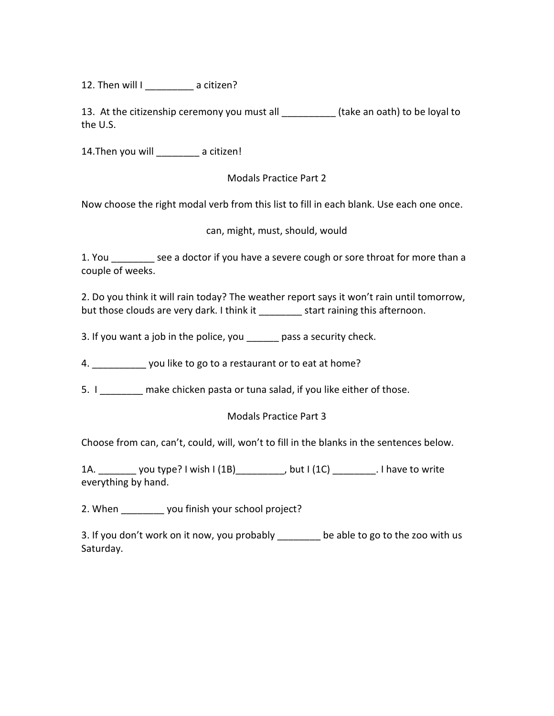12. Then will I a citizen?

13. At the citizenship ceremony you must all \_\_\_\_\_\_\_\_\_\_ (take an oath) to be loyal to the U.S.

14. Then you will **there** a citizen!

Modals Practice Part 2

Now choose the right modal verb from this list to fill in each blank. Use each one once.

can, might, must, should, would

1. You \_\_\_\_\_\_\_\_ see a doctor if you have a severe cough or sore throat for more than a couple of weeks.

2. Do you think it will rain today? The weather report says it won't rain until tomorrow, but those clouds are very dark. I think it \_\_\_\_\_\_\_\_ start raining this afternoon.

3. If you want a job in the police, you \_\_\_\_\_\_ pass a security check.

4.  $\sim$  you like to go to a restaurant or to eat at home?

5. I make chicken pasta or tuna salad, if you like either of those.

#### Modals Practice Part 3

Choose from can, can't, could, will, won't to fill in the blanks in the sentences below.

1A. \_\_\_\_\_\_\_ you type? I wish I (1B)\_\_\_\_\_\_\_\_\_, but I (1C) \_\_\_\_\_\_\_\_. I have to write everything by hand.

2. When \_\_\_\_\_\_\_\_ you finish your school project?

3. If you don't work on it now, you probably \_\_\_\_\_\_\_\_ be able to go to the zoo with us Saturday.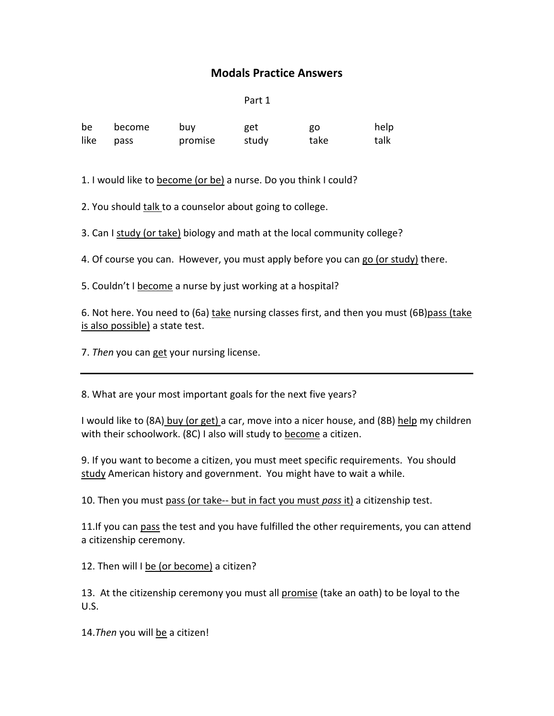# Modals Practice Answers

Part 1

be become buy get go help like pass promise study take talk

1. I would like to become (or be) a nurse. Do you think I could?

2. You should talk to a counselor about going to college.

3. Can I study (or take) biology and math at the local community college?

4. Of course you can. However, you must apply before you can go (or study) there.

5. Couldn't I become a nurse by just working at a hospital?

6. Not here. You need to (6a) take nursing classes first, and then you must (6B)pass (take is also possible) a state test.

7. Then you can get your nursing license.

8. What are your most important goals for the next five years?

I would like to (8A) buy (or get) a car, move into a nicer house, and (8B) help my children with their schoolwork. (8C) I also will study to become a citizen.

9. If you want to become a citizen, you must meet specific requirements. You should study American history and government. You might have to wait a while.

10. Then you must pass (or take-- but in fact you must pass it) a citizenship test.

11.If you can pass the test and you have fulfilled the other requirements, you can attend a citizenship ceremony.

12. Then will I be (or become) a citizen?

13. At the citizenship ceremony you must all promise (take an oath) to be loyal to the U.S.

14. Then you will be a citizen!